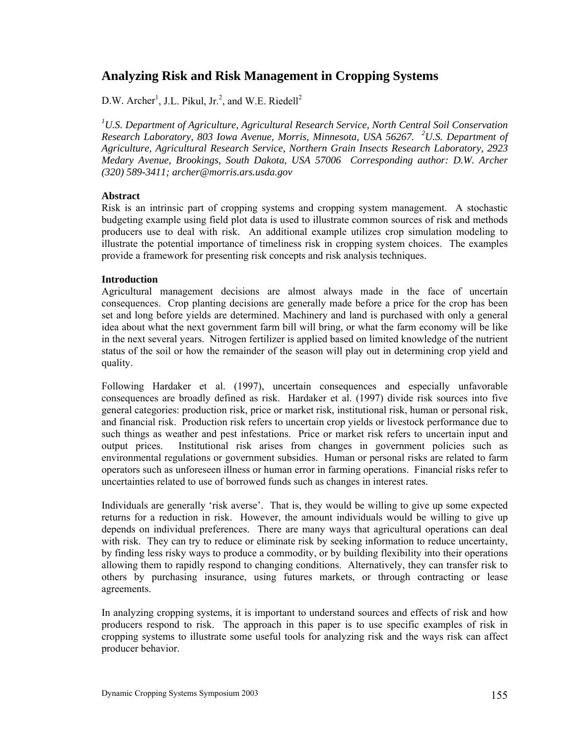# **Analyzing Risk and Risk Management in Cropping Systems**

 $D.W.$  Archer<sup>1</sup>, J.L. Pikul, Jr.<sup>2</sup>, and W.E. Riedell<sup>2</sup>

<sup>1</sup>U.S. Department of Agriculture, Agricultural Research Service, North Central Soil Conservation *Research Laboratory, 803 Iowa Avenue, Morris, Minnesota, USA 56267. <sup>2</sup> U.S. Department of Agriculture, Agricultural Research Service, Northern Grain Insects Research Laboratory, 2923 Medary Avenue, Brookings, South Dakota, USA 57006 Corresponding author: D.W. Archer (320) 589-3411; archer@morris.ars.usda.gov* 

# **Abstract**

Risk is an intrinsic part of cropping systems and cropping system management. A stochastic budgeting example using field plot data is used to illustrate common sources of risk and methods producers use to deal with risk. An additional example utilizes crop simulation modeling to illustrate the potential importance of timeliness risk in cropping system choices. The examples provide a framework for presenting risk concepts and risk analysis techniques.

# **Introduction**

Agricultural management decisions are almost always made in the face of uncertain consequences. Crop planting decisions are generally made before a price for the crop has been set and long before yields are determined. Machinery and land is purchased with only a general idea about what the next government farm bill will bring, or what the farm economy will be like in the next several years. Nitrogen fertilizer is applied based on limited knowledge of the nutrient status of the soil or how the remainder of the season will play out in determining crop yield and quality.

Following Hardaker et al. (1997), uncertain consequences and especially unfavorable consequences are broadly defined as risk. Hardaker et al. (1997) divide risk sources into five general categories: production risk, price or market risk, institutional risk, human or personal risk, and financial risk. Production risk refers to uncertain crop yields or livestock performance due to such things as weather and pest infestations. Price or market risk refers to uncertain input and output prices. Institutional risk arises from changes in government policies such as environmental regulations or government subsidies. Human or personal risks are related to farm operators such as unforeseen illness or human error in farming operations. Financial risks refer to uncertainties related to use of borrowed funds such as changes in interest rates.

Individuals are generally 'risk averse'. That is, they would be willing to give up some expected returns for a reduction in risk. However, the amount individuals would be willing to give up depends on individual preferences. There are many ways that agricultural operations can deal with risk. They can try to reduce or eliminate risk by seeking information to reduce uncertainty, by finding less risky ways to produce a commodity, or by building flexibility into their operations allowing them to rapidly respond to changing conditions. Alternatively, they can transfer risk to others by purchasing insurance, using futures markets, or through contracting or lease agreements.

In analyzing cropping systems, it is important to understand sources and effects of risk and how producers respond to risk. The approach in this paper is to use specific examples of risk in cropping systems to illustrate some useful tools for analyzing risk and the ways risk can affect producer behavior.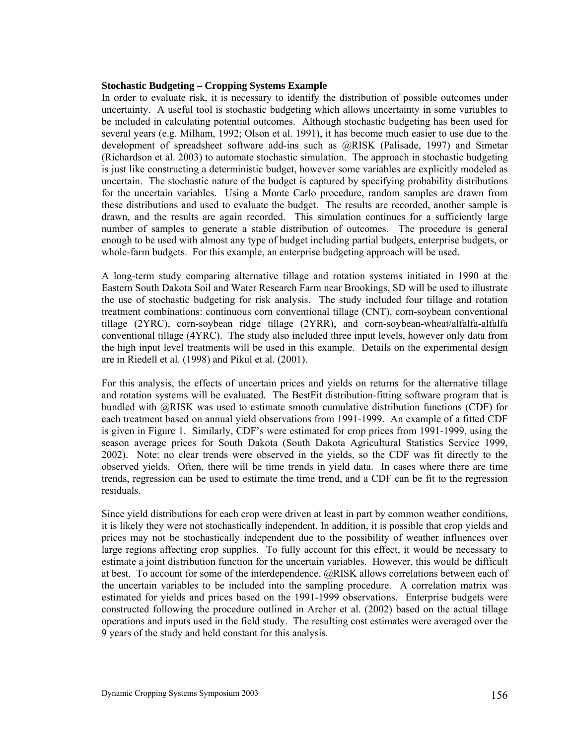## **Stochastic Budgeting – Cropping Systems Example**

In order to evaluate risk, it is necessary to identify the distribution of possible outcomes under uncertainty. A useful tool is stochastic budgeting which allows uncertainty in some variables to be included in calculating potential outcomes. Although stochastic budgeting has been used for several years (e.g. Milham, 1992; Olson et al. 1991), it has become much easier to use due to the development of spreadsheet software add-ins such as @RISK (Palisade, 1997) and Simetar (Richardson et al. 2003) to automate stochastic simulation. The approach in stochastic budgeting is just like constructing a deterministic budget, however some variables are explicitly modeled as uncertain. The stochastic nature of the budget is captured by specifying probability distributions for the uncertain variables. Using a Monte Carlo procedure, random samples are drawn from these distributions and used to evaluate the budget. The results are recorded, another sample is drawn, and the results are again recorded. This simulation continues for a sufficiently large number of samples to generate a stable distribution of outcomes. The procedure is general enough to be used with almost any type of budget including partial budgets, enterprise budgets, or whole-farm budgets. For this example, an enterprise budgeting approach will be used.

A long-term study comparing alternative tillage and rotation systems initiated in 1990 at the Eastern South Dakota Soil and Water Research Farm near Brookings, SD will be used to illustrate the use of stochastic budgeting for risk analysis. The study included four tillage and rotation treatment combinations: continuous corn conventional tillage (CNT), corn-soybean conventional tillage (2YRC), corn-soybean ridge tillage (2YRR), and corn-soybean-wheat/alfalfa-alfalfa conventional tillage (4YRC). The study also included three input levels, however only data from the high input level treatments will be used in this example. Details on the experimental design are in Riedell et al. (1998) and Pikul et al. (2001).

For this analysis, the effects of uncertain prices and yields on returns for the alternative tillage and rotation systems will be evaluated. The BestFit distribution-fitting software program that is bundled with @RISK was used to estimate smooth cumulative distribution functions (CDF) for each treatment based on annual yield observations from 1991-1999. An example of a fitted CDF is given in Figure 1. Similarly, CDF's were estimated for crop prices from 1991-1999, using the season average prices for South Dakota (South Dakota Agricultural Statistics Service 1999, 2002). Note: no clear trends were observed in the yields, so the CDF was fit directly to the observed yields. Often, there will be time trends in yield data. In cases where there are time trends, regression can be used to estimate the time trend, and a CDF can be fit to the regression residuals.

Since yield distributions for each crop were driven at least in part by common weather conditions, it is likely they were not stochastically independent. In addition, it is possible that crop yields and prices may not be stochastically independent due to the possibility of weather influences over large regions affecting crop supplies. To fully account for this effect, it would be necessary to estimate a joint distribution function for the uncertain variables. However, this would be difficult at best. To account for some of the interdependence, @RISK allows correlations between each of the uncertain variables to be included into the sampling procedure. A correlation matrix was estimated for yields and prices based on the 1991-1999 observations. Enterprise budgets were constructed following the procedure outlined in Archer et al. (2002) based on the actual tillage operations and inputs used in the field study. The resulting cost estimates were averaged over the 9 years of the study and held constant for this analysis.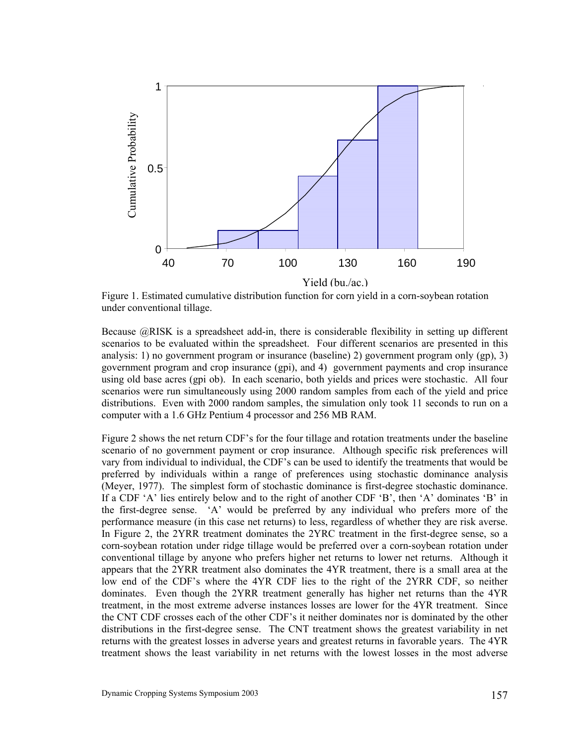

Figure 1. Estimated cumulative distribution function for corn yield in a corn-soybean rotation under conventional tillage.

Because @RISK is a spreadsheet add-in, there is considerable flexibility in setting up different scenarios to be evaluated within the spreadsheet. Four different scenarios are presented in this analysis: 1) no government program or insurance (baseline) 2) government program only (gp), 3) government program and crop insurance (gpi), and 4) government payments and crop insurance using old base acres (gpi ob). In each scenario, both yields and prices were stochastic. All four scenarios were run simultaneously using 2000 random samples from each of the yield and price distributions. Even with 2000 random samples, the simulation only took 11 seconds to run on a computer with a 1.6 GHz Pentium 4 processor and 256 MB RAM.

Figure 2 shows the net return CDF's for the four tillage and rotation treatments under the baseline scenario of no government payment or crop insurance. Although specific risk preferences will vary from individual to individual, the CDF's can be used to identify the treatments that would be preferred by individuals within a range of preferences using stochastic dominance analysis (Meyer, 1977). The simplest form of stochastic dominance is first-degree stochastic dominance. If a CDF 'A' lies entirely below and to the right of another CDF 'B', then 'A' dominates 'B' in the first-degree sense. 'A' would be preferred by any individual who prefers more of the performance measure (in this case net returns) to less, regardless of whether they are risk averse. In Figure 2, the 2YRR treatment dominates the 2YRC treatment in the first-degree sense, so a corn-soybean rotation under ridge tillage would be preferred over a corn-soybean rotation under conventional tillage by anyone who prefers higher net returns to lower net returns. Although it appears that the 2YRR treatment also dominates the 4YR treatment, there is a small area at the low end of the CDF's where the 4YR CDF lies to the right of the 2YRR CDF, so neither dominates. Even though the 2YRR treatment generally has higher net returns than the 4YR treatment, in the most extreme adverse instances losses are lower for the 4YR treatment. Since the CNT CDF crosses each of the other CDF's it neither dominates nor is dominated by the other distributions in the first-degree sense. The CNT treatment shows the greatest variability in net returns with the greatest losses in adverse years and greatest returns in favorable years. The 4YR The least variable shows the least variable method in the least variable method in the least variable method in the least variable method in the least variable method in the lower shows that the least variable method is t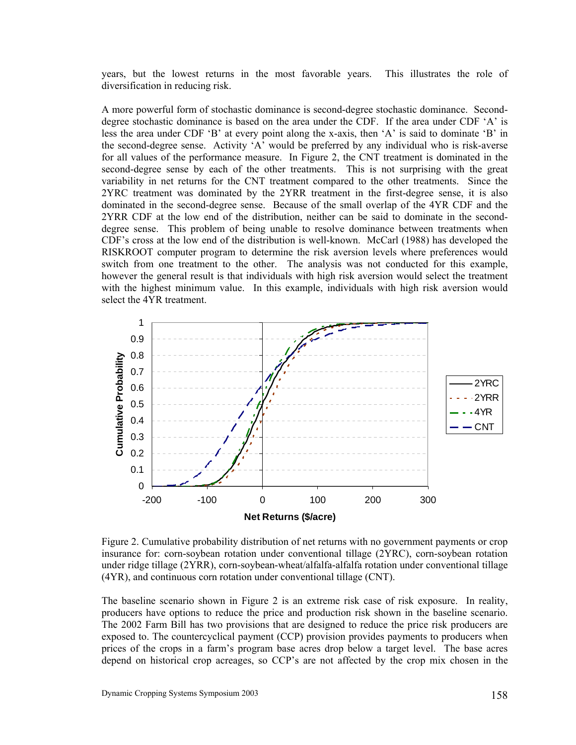years, but the lowest returns in the most favorable years. This illustrates the role of diversification in reducing risk.

A more powerful form of stochastic dominance is second-degree stochastic dominance. Seconddegree stochastic dominance is based on the area under the CDF. If the area under CDF 'A' is less the area under CDF 'B' at every point along the x-axis, then 'A' is said to dominate 'B' in the second-degree sense. Activity 'A' would be preferred by any individual who is risk-averse for all values of the performance measure. In Figure 2, the CNT treatment is dominated in the second-degree sense by each of the other treatments. This is not surprising with the great variability in net returns for the CNT treatment compared to the other treatments. Since the 2YRC treatment was dominated by the 2YRR treatment in the first-degree sense, it is also dominated in the second-degree sense. Because of the small overlap of the 4YR CDF and the 2YRR CDF at the low end of the distribution, neither can be said to dominate in the seconddegree sense. This problem of being unable to resolve dominance between treatments when CDF's cross at the low end of the distribution is well-known. McCarl (1988) has developed the RISKROOT computer program to determine the risk aversion levels where preferences would switch from one treatment to the other. The analysis was not conducted for this example, however the general result is that individuals with high risk aversion would select the treatment with the highest minimum value. In this example, individuals with high risk aversion would select the 4YR treatment.



Figure 2. Cumulative probability distribution of net returns with no government payments or crop insurance for: corn-soybean rotation under conventional tillage (2YRC), corn-soybean rotation under ridge tillage (2YRR), corn-soybean-wheat/alfalfa-alfalfa rotation under conventional tillage (4YR), and continuous corn rotation under conventional tillage (CNT).

The baseline scenario shown in Figure 2 is an extreme risk case of risk exposure. In reality, producers have options to reduce the price and production risk shown in the baseline scenario. The 2002 Farm Bill has two provisions that are designed to reduce the price risk producers are exposed to. The countercyclical payment (CCP) provision provides payments to producers when prices of the crops in a farm's program base acres drop below a target level. The base acres depend on historical crop acreages, so CCP's are not affected by the crop mix chosen in the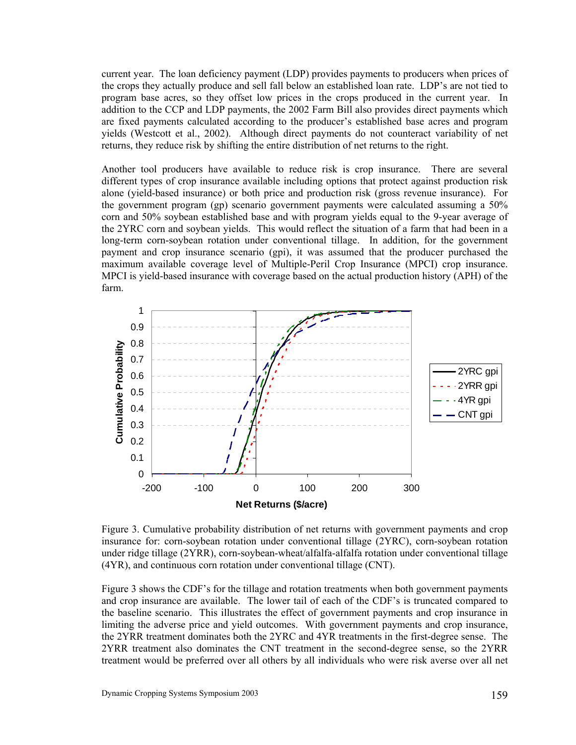current year. The loan deficiency payment (LDP) provides payments to producers when prices of the crops they actually produce and sell fall below an established loan rate. LDP's are not tied to program base acres, so they offset low prices in the crops produced in the current year. In addition to the CCP and LDP payments, the 2002 Farm Bill also provides direct payments which are fixed payments calculated according to the producer's established base acres and program yields (Westcott et al., 2002). Although direct payments do not counteract variability of net returns, they reduce risk by shifting the entire distribution of net returns to the right.

Another tool producers have available to reduce risk is crop insurance. There are several different types of crop insurance available including options that protect against production risk alone (yield-based insurance) or both price and production risk (gross revenue insurance). For the government program (gp) scenario government payments were calculated assuming a 50% corn and 50% soybean established base and with program yields equal to the 9-year average of the 2YRC corn and soybean yields. This would reflect the situation of a farm that had been in a long-term corn-soybean rotation under conventional tillage. In addition, for the government payment and crop insurance scenario (gpi), it was assumed that the producer purchased the maximum available coverage level of Multiple-Peril Crop Insurance (MPCI) crop insurance. MPCI is yield-based insurance with coverage based on the actual production history (APH) of the farm.



Figure 3. Cumulative probability distribution of net returns with government payments and crop insurance for: corn-soybean rotation under conventional tillage (2YRC), corn-soybean rotation under ridge tillage (2YRR), corn-soybean-wheat/alfalfa-alfalfa rotation under conventional tillage (4YR), and continuous corn rotation under conventional tillage (CNT).

Figure 3 shows the CDF's for the tillage and rotation treatments when both government payments and crop insurance are available. The lower tail of each of the CDF's is truncated compared to the baseline scenario. This illustrates the effect of government payments and crop insurance in limiting the adverse price and yield outcomes. With government payments and crop insurance, the 2YRR treatment dominates both the 2YRC and 4YR treatments in the first-degree sense. The 2YRR treatment also dominates the CNT treatment in the second-degree sense, so the 2YRR treatment would be preferred over all others by all individuals who were risk averse over all net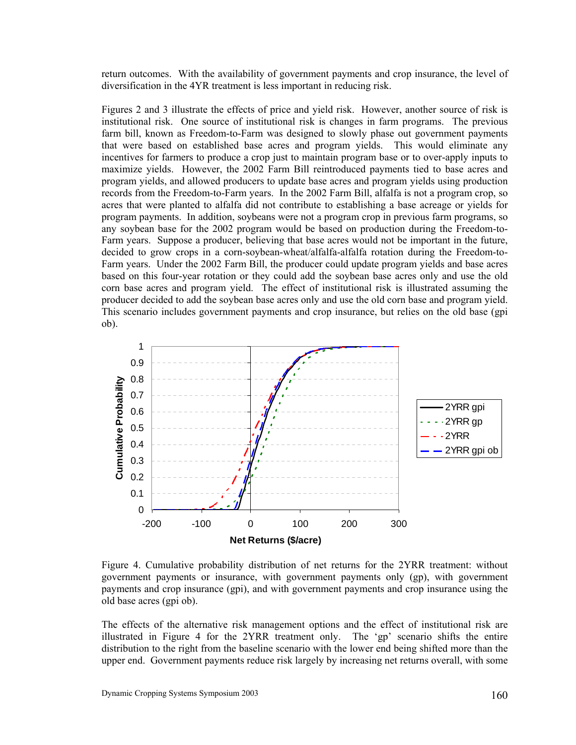return outcomes. With the availability of government payments and crop insurance, the level of diversification in the 4YR treatment is less important in reducing risk.

Figures 2 and 3 illustrate the effects of price and yield risk. However, another source of risk is institutional risk. One source of institutional risk is changes in farm programs. The previous farm bill, known as Freedom-to-Farm was designed to slowly phase out government payments that were based on established base acres and program yields. This would eliminate any incentives for farmers to produce a crop just to maintain program base or to over-apply inputs to maximize yields. However, the 2002 Farm Bill reintroduced payments tied to base acres and program yields, and allowed producers to update base acres and program yields using production records from the Freedom-to-Farm years. In the 2002 Farm Bill, alfalfa is not a program crop, so acres that were planted to alfalfa did not contribute to establishing a base acreage or yields for program payments. In addition, soybeans were not a program crop in previous farm programs, so any soybean base for the 2002 program would be based on production during the Freedom-to-Farm years. Suppose a producer, believing that base acres would not be important in the future, decided to grow crops in a corn-soybean-wheat/alfalfa-alfalfa rotation during the Freedom-to-Farm years. Under the 2002 Farm Bill, the producer could update program yields and base acres based on this four-year rotation or they could add the soybean base acres only and use the old corn base acres and program yield. The effect of institutional risk is illustrated assuming the producer decided to add the soybean base acres only and use the old corn base and program yield. This scenario includes government payments and crop insurance, but relies on the old base (gpi ob).



Figure 4. Cumulative probability distribution of net returns for the 2YRR treatment: without government payments or insurance, with government payments only (gp), with government payments and crop insurance (gpi), and with government payments and crop insurance using the old base acres (gpi ob).

The effects of the alternative risk management options and the effect of institutional risk are illustrated in Figure 4 for the 2YRR treatment only. The 'gp' scenario shifts the entire distribution to the right from the baseline scenario with the lower end being shifted more than the upper end. Government payments reduce risk largely by increasing net returns overall, with some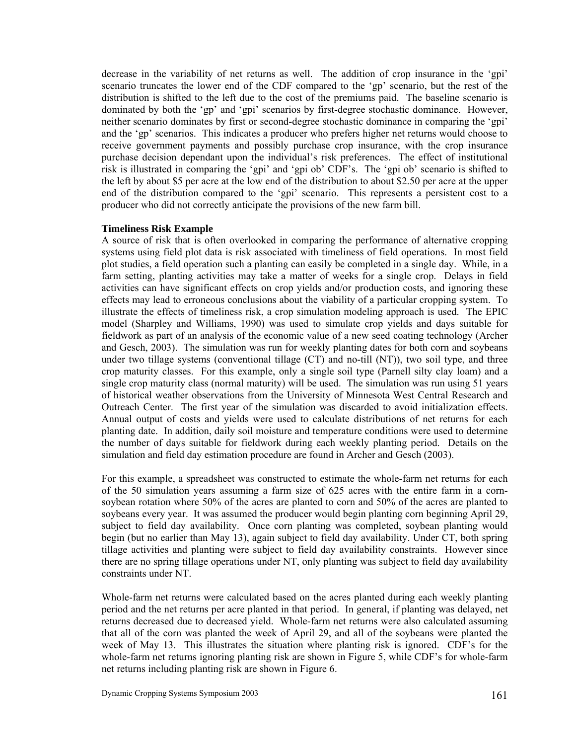decrease in the variability of net returns as well. The addition of crop insurance in the 'gpi' scenario truncates the lower end of the CDF compared to the 'gp' scenario, but the rest of the distribution is shifted to the left due to the cost of the premiums paid. The baseline scenario is dominated by both the 'gp' and 'gpi' scenarios by first-degree stochastic dominance. However, neither scenario dominates by first or second-degree stochastic dominance in comparing the 'gpi' and the 'gp' scenarios. This indicates a producer who prefers higher net returns would choose to receive government payments and possibly purchase crop insurance, with the crop insurance purchase decision dependant upon the individual's risk preferences. The effect of institutional risk is illustrated in comparing the 'gpi' and 'gpi ob' CDF's. The 'gpi ob' scenario is shifted to the left by about \$5 per acre at the low end of the distribution to about \$2.50 per acre at the upper end of the distribution compared to the 'gpi' scenario. This represents a persistent cost to a producer who did not correctly anticipate the provisions of the new farm bill.

## **Timeliness Risk Example**

A source of risk that is often overlooked in comparing the performance of alternative cropping systems using field plot data is risk associated with timeliness of field operations. In most field plot studies, a field operation such a planting can easily be completed in a single day. While, in a farm setting, planting activities may take a matter of weeks for a single crop. Delays in field activities can have significant effects on crop yields and/or production costs, and ignoring these effects may lead to erroneous conclusions about the viability of a particular cropping system. To illustrate the effects of timeliness risk, a crop simulation modeling approach is used. The EPIC model (Sharpley and Williams, 1990) was used to simulate crop yields and days suitable for fieldwork as part of an analysis of the economic value of a new seed coating technology (Archer and Gesch, 2003). The simulation was run for weekly planting dates for both corn and soybeans under two tillage systems (conventional tillage (CT) and no-till (NT)), two soil type, and three crop maturity classes. For this example, only a single soil type (Parnell silty clay loam) and a single crop maturity class (normal maturity) will be used. The simulation was run using 51 years of historical weather observations from the University of Minnesota West Central Research and Outreach Center. The first year of the simulation was discarded to avoid initialization effects. Annual output of costs and yields were used to calculate distributions of net returns for each planting date. In addition, daily soil moisture and temperature conditions were used to determine the number of days suitable for fieldwork during each weekly planting period. Details on the simulation and field day estimation procedure are found in Archer and Gesch (2003).

For this example, a spreadsheet was constructed to estimate the whole-farm net returns for each of the 50 simulation years assuming a farm size of 625 acres with the entire farm in a cornsoybean rotation where 50% of the acres are planted to corn and 50% of the acres are planted to soybeans every year. It was assumed the producer would begin planting corn beginning April 29, subject to field day availability. Once corn planting was completed, soybean planting would begin (but no earlier than May 13), again subject to field day availability. Under CT, both spring tillage activities and planting were subject to field day availability constraints. However since there are no spring tillage operations under NT, only planting was subject to field day availability constraints under NT.

Whole-farm net returns were calculated based on the acres planted during each weekly planting period and the net returns per acre planted in that period. In general, if planting was delayed, net returns decreased due to decreased yield. Whole-farm net returns were also calculated assuming that all of the corn was planted the week of April 29, and all of the soybeans were planted the week of May 13. This illustrates the situation where planting risk is ignored. CDF's for the whole-farm net returns ignoring planting risk are shown in Figure 5, while CDF's for whole-farm net returns including planting risk are shown in Figure 6.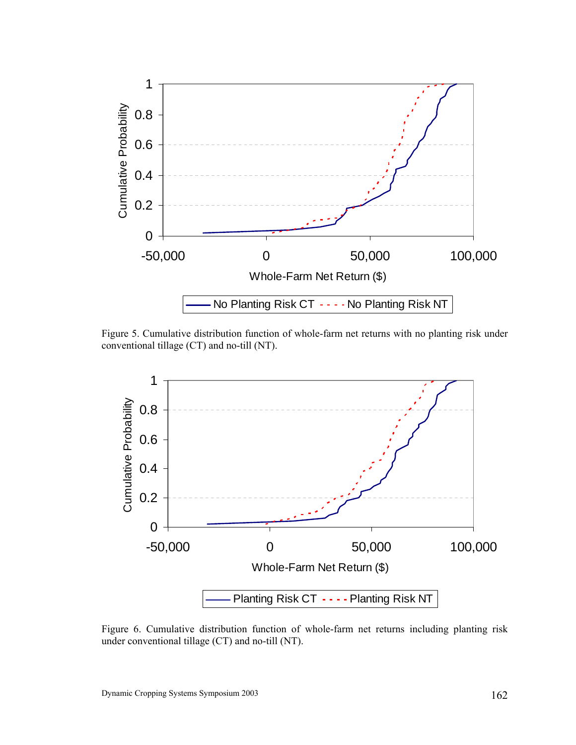

Figure 5. Cumulative distribution function of whole-farm net returns with no planting risk under conventional tillage (CT) and no-till (NT).



Figure 6. Cumulative distribution function of whole-farm net returns including planting risk under conventional tillage (CT) and no-till (NT).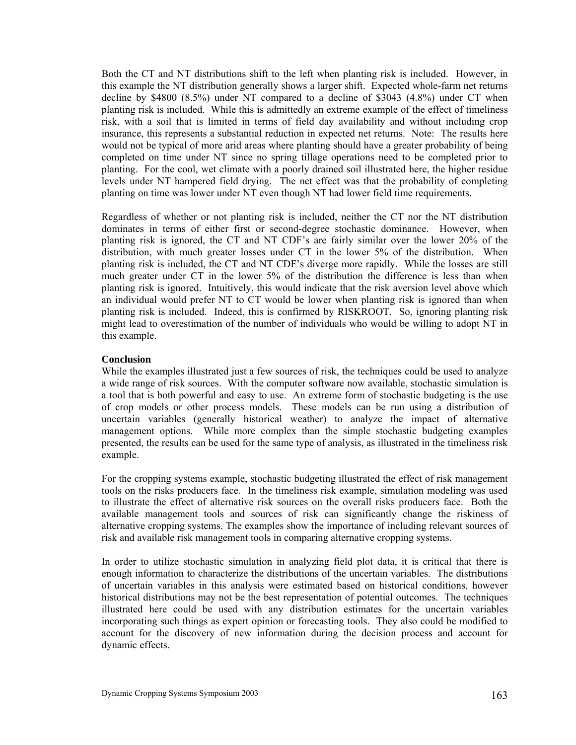Both the CT and NT distributions shift to the left when planting risk is included. However, in this example the NT distribution generally shows a larger shift. Expected whole-farm net returns decline by \$4800 (8.5%) under NT compared to a decline of \$3043 (4.8%) under CT when planting risk is included. While this is admittedly an extreme example of the effect of timeliness risk, with a soil that is limited in terms of field day availability and without including crop insurance, this represents a substantial reduction in expected net returns. Note: The results here would not be typical of more arid areas where planting should have a greater probability of being completed on time under NT since no spring tillage operations need to be completed prior to planting. For the cool, wet climate with a poorly drained soil illustrated here, the higher residue levels under NT hampered field drying. The net effect was that the probability of completing planting on time was lower under NT even though NT had lower field time requirements.

Regardless of whether or not planting risk is included, neither the CT nor the NT distribution dominates in terms of either first or second-degree stochastic dominance. However, when planting risk is ignored, the CT and NT CDF's are fairly similar over the lower 20% of the distribution, with much greater losses under CT in the lower 5% of the distribution. When planting risk is included, the CT and NT CDF's diverge more rapidly. While the losses are still much greater under CT in the lower 5% of the distribution the difference is less than when planting risk is ignored. Intuitively, this would indicate that the risk aversion level above which an individual would prefer NT to CT would be lower when planting risk is ignored than when planting risk is included. Indeed, this is confirmed by RISKROOT. So, ignoring planting risk might lead to overestimation of the number of individuals who would be willing to adopt NT in this example.

# **Conclusion**

While the examples illustrated just a few sources of risk, the techniques could be used to analyze a wide range of risk sources. With the computer software now available, stochastic simulation is a tool that is both powerful and easy to use. An extreme form of stochastic budgeting is the use of crop models or other process models. These models can be run using a distribution of uncertain variables (generally historical weather) to analyze the impact of alternative management options. While more complex than the simple stochastic budgeting examples presented, the results can be used for the same type of analysis, as illustrated in the timeliness risk example.

For the cropping systems example, stochastic budgeting illustrated the effect of risk management tools on the risks producers face. In the timeliness risk example, simulation modeling was used to illustrate the effect of alternative risk sources on the overall risks producers face. Both the available management tools and sources of risk can significantly change the riskiness of alternative cropping systems. The examples show the importance of including relevant sources of risk and available risk management tools in comparing alternative cropping systems.

In order to utilize stochastic simulation in analyzing field plot data, it is critical that there is enough information to characterize the distributions of the uncertain variables. The distributions of uncertain variables in this analysis were estimated based on historical conditions, however historical distributions may not be the best representation of potential outcomes. The techniques illustrated here could be used with any distribution estimates for the uncertain variables incorporating such things as expert opinion or forecasting tools. They also could be modified to account for the discovery of new information during the decision process and account for dynamic effects.